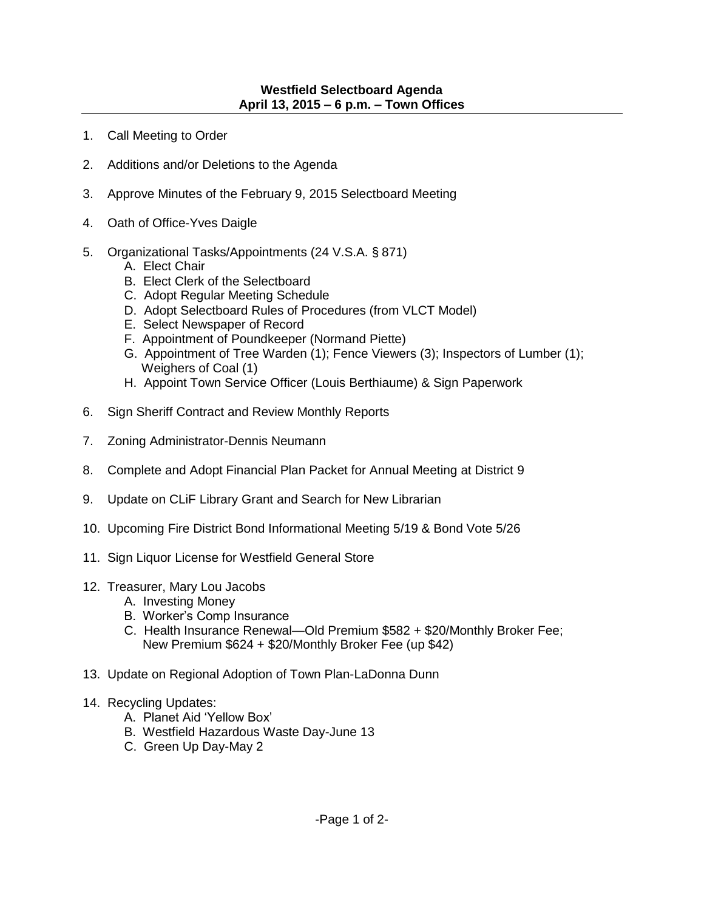## **Westfield Selectboard Agenda April 13, 2015 – 6 p.m. – Town Offices**

- 1. Call Meeting to Order
- 2. Additions and/or Deletions to the Agenda
- 3. Approve Minutes of the February 9, 2015 Selectboard Meeting
- 4. Oath of Office-Yves Daigle
- 5. Organizational Tasks/Appointments (24 V.S.A. § 871)
	- A. Elect Chair
	- B. Elect Clerk of the Selectboard
	- C. Adopt Regular Meeting Schedule
	- D. Adopt Selectboard Rules of Procedures (from VLCT Model)
	- E. Select Newspaper of Record
	- F. Appointment of Poundkeeper (Normand Piette)
	- G. Appointment of Tree Warden (1); Fence Viewers (3); Inspectors of Lumber (1); Weighers of Coal (1)
	- H. Appoint Town Service Officer (Louis Berthiaume) & Sign Paperwork
- 6. Sign Sheriff Contract and Review Monthly Reports
- 7. Zoning Administrator-Dennis Neumann
- 8. Complete and Adopt Financial Plan Packet for Annual Meeting at District 9
- 9. Update on CLiF Library Grant and Search for New Librarian
- 10. Upcoming Fire District Bond Informational Meeting 5/19 & Bond Vote 5/26
- 11. Sign Liquor License for Westfield General Store

## 12. Treasurer, Mary Lou Jacobs

- A. Investing Money
- B. Worker's Comp Insurance
- C. Health Insurance Renewal—Old Premium \$582 + \$20/Monthly Broker Fee; New Premium \$624 + \$20/Monthly Broker Fee (up \$42)
- 13. Update on Regional Adoption of Town Plan-LaDonna Dunn
- 14. Recycling Updates:
	- A. Planet Aid 'Yellow Box'
	- B. Westfield Hazardous Waste Day-June 13
	- C. Green Up Day-May 2